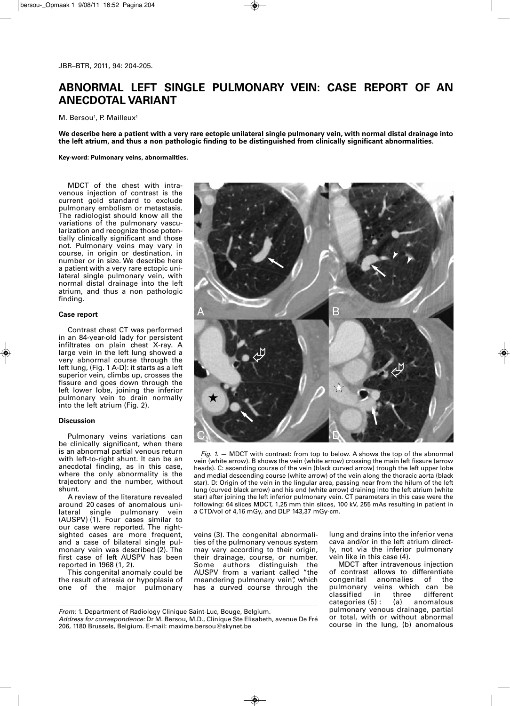# **ABNORMAL LEFT SINGLE PULMONARY VEIN: CASE REPORT OF AN ANECDOTAL VARIANT**

 $M.$  Bersou<sup>1</sup>, P. Mailleux<sup>1</sup>

We describe here a patient with a very rare ectopic unilateral single pulmonary vein, with normal distal drainage into the left atrium, and thus a non pathologic finding to be distinguished from clinically significant abnormalities.

**Key-word: Pulmonary veins, abnormalities.**

MDCT of the chest with intravenous injection of contrast is the current gold standard to exclude pulmonary embolism or metastasis. The radiologist should know all the variations of the pulmonary vascularization and recognize those potentially clinically significant and those not. Pulmonary veins may vary in course, in origin or destination, in number or in size. We describe here a patient with a very rare ectopic unilateral single pulmonary vein, with normal distal drainage into the left atrium, and thus a non pathologic finding.

## **Case report**

Contrast chest CT was performed in an 84-year-old lady for persistent infiltrates on plain chest X-ray. A large vein in the left lung showed a very abnormal course through the left lung, (Fig. 1 A-D): it starts as a left superior vein, climbs up, crosses the fissure and goes down through the left lower lobe, joining the inferior pulmonary vein to drain normally into the left atrium (Fig. 2).

### **Discussion**

Pulmonary veins variations can be clinically significant, when there is an abnormal partial venous return with left-to-right shunt. It can be an anecdotal finding, as in this case, where the only abnormality is the trajectory and the number, without shunt.

A review of the literature revealed around 20 cases of anomalous unilateral single pulmonary vein (AUSPV) (1). Four cases similar to our case were reported. The rightsighted cases are more frequent, and a case of bilateral single pulmonary vein was described (2). The first case of left AUSPV has been reported in 1968 (1, 2).

This congenital anomaly could be the result of atresia or hypoplasia of one of the major pulmonary



*Fig. 1.* — MDCT with contrast: from top to below. A shows the top of the abnormal vein (white arrow). B shows the vein (white arrow) crossing the main left fissure (arrow heads). C: ascending course of the vein (black curved arrow) trough the left upper lobe and medial descending course (white arrow) of the vein along the thoracic aorta (black star). D: Origin of the vein in the lingular area, passing near from the hilum of the left lung (curved black arrow) and his end (white arrow) draining into the left atrium (white star) after joining the left inferior pulmonary vein. CT parameters in this case were the following: 64 slices MDCT, 1,25 mm thin slices, 100 kV, 255 mAs resulting in patient in a CTD/vol of 4,16 mGy, and DLP 143,37 mGy-cm.

veins (3). The congenital abnormalities of the pulmonary venous system may vary according to their origin, their drainage, course, or number. Some authors distinguish the AUSPV from a variant called "the meandering pulmonary vein", which has a curved course through the lung and drains into the inferior vena cava and/or in the left atrium directly, not via the inferior pulmonary vein like in this case (4).

MDCT after intravenous injection of contrast allows to differentiate congenital anomalies of the pulmonary veins which can be<br>classified in three different different categories (5) : (a) anomalous pulmonary venous drainage, partial or total, with or without abnormal course in the lung, (b) anomalous

*From:* 1. Department of Radiology Clinique Saint-Luc, Bouge, Belgium.

*Address for correspondence:* Dr M. Bersou, M.D., Clinique Ste Elisabeth, avenue De Fré 206, 1180 Brussels, Belgium. E-mail: maxime.bersou@skynet.be